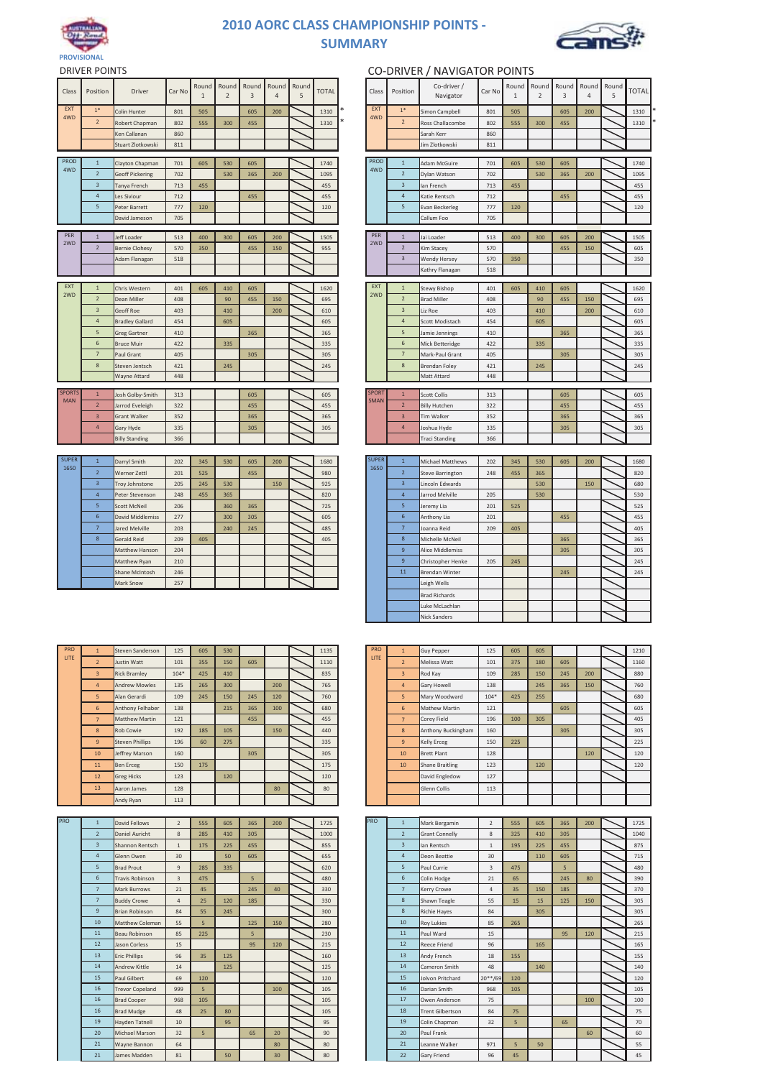

## **2010 AORC CLASS CHAMPIONSHIP POINTS - SUMMARY**



| Class                       | Position       | <b>Driver</b>          | Car No | Round<br>$\mathbf{1}$ | Round<br>$\overline{2}$ | Round<br>3 | 4   | Round Round<br>5 | <b>TOTAL</b> | Class                | Position                | Co-driver /<br>Navigator | Car No | Round<br>$\mathbf{1}$ | Rou<br>$\overline{2}$ |
|-----------------------------|----------------|------------------------|--------|-----------------------|-------------------------|------------|-----|------------------|--------------|----------------------|-------------------------|--------------------------|--------|-----------------------|-----------------------|
| <b>EXT</b><br>4WD           | $1*$           | Colin Hunter           | 801    | 505                   |                         | 605        | 200 |                  | 1310         | EXT                  | $1*$                    | Simon Campbell           | 801    | 505                   |                       |
|                             | $\overline{2}$ | Robert Chapman         | 802    | 555                   | 300                     | 455        |     |                  | 1310         | 4WD                  | $\overline{2}$          | Ross Challacombe         | 802    | 555                   | 3 <sub>0</sub>        |
|                             |                | Ken Callanan           | 860    |                       |                         |            |     |                  |              |                      |                         | Sarah Kerr               | 860    |                       |                       |
|                             |                | Stuart Zlotkowski      | 811    |                       |                         |            |     |                  |              |                      |                         | Jim Zlotkowski           | 811    |                       |                       |
| PROD                        | $\,1\,$        | Clayton Chapman        | 701    | 605                   | 530                     | 605        |     |                  | 1740         | PROD                 | $1\,$                   | Adam McGuire             | 701    | 605                   | 53                    |
| 4WD                         | $\overline{2}$ | <b>Geoff Pickering</b> | 702    |                       | 530                     | 365        | 200 |                  | 1095         | 4WD                  | $\overline{2}$          | Dylan Watson             | 702    |                       | 53                    |
|                             | 3              | Tanya French           | 713    | 455                   |                         |            |     |                  | 455          |                      | 3                       | lan French               | 713    | 455                   |                       |
|                             | $\overline{4}$ | Les Siviour            | 712    |                       |                         | 455        |     |                  | 455          |                      | $\overline{4}$          | Katie Rentsch            | 712    |                       |                       |
|                             | 5              | Peter Barrett          | 777    | 120                   |                         |            |     |                  | 120          |                      | 5                       | Evan Beckerleg           | 777    | 120                   |                       |
|                             |                | David Jameson          | 705    |                       |                         |            |     |                  |              |                      |                         | Callum Foo               | 705    |                       |                       |
|                             |                |                        |        |                       |                         |            |     |                  |              |                      |                         |                          |        |                       |                       |
| PER<br>2WD                  | $\mathbf{1}$   | Jeff Loader            | 513    | 400                   | 300                     | 605        | 200 |                  | 1505         | PER<br>2WD           | $\mathbf{1}$            | Jai Loader               | 513    | 400                   | 3 <sub>c</sub>        |
|                             | $\overline{2}$ | <b>Bernie Clohesy</b>  | 570    | 350                   |                         | 455        | 150 |                  | 955          |                      | $\overline{2}$          | Kim Stacey               | 570    |                       |                       |
|                             |                | Adam Flanagan          | 518    |                       |                         |            |     |                  |              |                      | $\overline{\mathbf{3}}$ | Wendy Hersey             | 570    | 350                   |                       |
|                             |                |                        |        |                       |                         |            |     |                  |              |                      |                         | Kathry Flanagan          | 518    |                       |                       |
| <b>EXT</b>                  | $\,1$          | Chris Western          | 401    | 605                   | 410                     | 605        |     |                  | 1620         | <b>EXT</b>           | $1\,$                   | Stewy Bishop             | 401    | 605                   | 41                    |
| 2WD                         | $\overline{2}$ | Dean Miller            | 408    |                       | 90                      | 455        | 150 |                  | 695          | 2WD                  | $\overline{2}$          | <b>Brad Miller</b>       | 408    |                       | 9                     |
|                             | $\overline{3}$ | <b>Geoff Roe</b>       | 403    |                       | 410                     |            | 200 |                  | 610          |                      | $\overline{3}$          | Liz Roe                  | 403    |                       | 41                    |
|                             | $\overline{4}$ | <b>Bradley Gallard</b> | 454    |                       | 605                     |            |     |                  | 605          |                      | $\overline{4}$          | Scott Modistach          | 454    |                       | 60                    |
|                             | 5              | Greg Gartner           | 410    |                       |                         | 365        |     |                  | 365          |                      | 5                       | Jamie Jennings           | 410    |                       |                       |
|                             | 6              | <b>Bruce Muir</b>      | 422    |                       | 335                     |            |     |                  | 335          |                      | 6                       | Mick Betteridge          | 422    |                       | 33                    |
|                             | $\overline{7}$ | Paul Grant             | 405    |                       |                         | 305        |     |                  | 305          |                      | $\overline{7}$          | Mark-Paul Grant          | 405    |                       |                       |
|                             | 8              | Steven Jentsch         | 421    |                       | 245                     |            |     |                  | 245          |                      | 8                       | Brendan Foley            | 421    |                       | 24                    |
|                             |                | Wayne Attard           | 448    |                       |                         |            |     |                  |              |                      |                         | Matt Attard              | 448    |                       |                       |
|                             |                |                        |        |                       |                         |            |     |                  |              |                      |                         |                          |        |                       |                       |
| <b>SPORTS</b><br><b>MAN</b> | $\overline{1}$ | Josh Golby-Smith       | 313    |                       |                         | 605        |     |                  | 605          | <b>SPORT</b><br>SMAN | $\mathbf{1}$            | Scott Collis             | 313    |                       |                       |
|                             | $\overline{2}$ | Jarrod Eveleigh        | 322    |                       |                         | 455        |     |                  | 455          |                      | $\overline{2}$          | <b>Billy Hutchen</b>     | 322    |                       |                       |
|                             | $\overline{3}$ | <b>Grant Walker</b>    | 352    |                       |                         | 365        |     |                  | 365          |                      | $\overline{3}$          | Tim Walker               | 352    |                       |                       |
|                             | $\overline{4}$ | Gary Hyde              | 335    |                       |                         | 305        |     |                  | 305          |                      | 4                       | Joshua Hyde              | 335    |                       |                       |
|                             |                | <b>Billy Standing</b>  | 366    |                       |                         |            |     |                  |              |                      |                         | Traci Standing           | 366    |                       |                       |
|                             |                |                        |        |                       |                         |            |     |                  |              |                      |                         |                          |        |                       |                       |
| <b>SUPER</b><br>1650        | $\mathbf{1}$   | Darryl Smith           | 202    | 345                   | 530                     | 605        | 200 |                  | 1680         | <b>SUPER</b><br>1650 | $\mathbf{1}$            | <b>Michael Matthews</b>  | 202    | 345                   | 53                    |
|                             | $\overline{2}$ | Werner Zettl           | 201    | 525                   |                         | 455        |     |                  | 980          |                      | $\overline{2}$          | Steve Barrington         | 248    | 455                   | 36                    |
|                             | $\overline{3}$ | Troy Johnstone         | 205    | 245                   | 530                     |            | 150 |                  | 925          |                      | $\overline{3}$          | Lincoln Edwards          |        |                       | 53                    |
|                             | $\overline{4}$ | Peter Stevenson        | 248    | 455                   | 365                     |            |     |                  | 820          |                      | $\overline{4}$          | Jarrod Melville          | 205    |                       | 53                    |
|                             | 5              | Scott McNeil           | 206    |                       | 360                     | 365        |     |                  | 725          |                      | 5                       | Jeremy Lia               | 201    | 525                   |                       |
|                             | $\sqrt{6}$     | David Middlemiss       | 277    |                       | 300                     | 305        |     |                  | 605          |                      | $\boldsymbol{6}$        | Anthony Lia              | 201    |                       |                       |

| Round<br>Round<br>Round<br>Round<br>Round<br>Round<br>Co-driver /<br>Round<br>Round<br>Round<br>Round<br><b>TOTAL</b><br>Position<br>Class<br>Position<br>Driver<br>Car No<br>Class<br>Car No<br>TOTAL<br>3<br>$\mathbf{1}$<br>$\overline{2}$<br>3<br>$\overline{4}$<br>5<br>Navigator<br>$\mathbf{1}$<br>2<br>4<br>5<br>EXT<br>EXT<br>$1*$<br>1310<br>$1*$<br>Colin Hunter<br>801<br>505<br>605<br>200<br>Simon Campbell<br>801<br>505<br>605<br>200<br>1310<br>4WD<br>4WD<br>$\mathbf 2$<br>$\mathbf{2}$<br>1310<br>Ross Challacombe<br>1310<br>Robert Chapman<br>802<br>555<br>300<br>455<br>802<br>555<br>300<br>455<br>Ken Callanan<br>860<br>Sarah Kerr<br>860<br>Stuart Zlotkowski<br>811<br>811<br>Jim Zlotkowski<br>PROD<br>PROD<br>$1\,$<br>1740<br>$1\,$<br>Clayton Chapman<br>701<br>605<br>530<br>605<br>Adam McGuire<br>701<br>605<br>530<br>605<br>1740<br>4WD<br>4WD<br>$\overline{2}$<br>$\overline{2}$<br><b>Geoff Pickering</b><br>702<br>530<br>365<br>200<br>1095<br>Dylan Watson<br>702<br>530<br>365<br>200<br>1095<br>$\overline{\mathbf{3}}$<br>455<br>$\overline{\mathbf{3}}$<br>455<br>713<br>713<br>Tanya French<br>455<br>Ian French<br>455<br>$\overline{4}$<br>712<br>455<br>$\sqrt{4}$<br>455<br>455<br>712<br>455<br>Les Siviour<br>Katie Rentsch<br>$\sqrt{5}$<br>777<br>120<br>5<br>120<br>Peter Barrett<br>120<br><b>Evan Beckerleg</b><br>777<br>120<br>705<br>Callum Foo<br>705<br>David Jameson<br>PER<br>PER<br>$\mathbf 1$<br>$\mathbf{1}$<br>Jeff Loader<br>513<br>1505<br>Jai Loader<br>513<br>1505<br>400<br>300<br>605<br>200<br>400<br>300<br>605<br>200<br>2WD<br>2WD<br>$\sqrt{2}$<br>$\overline{2}$<br>955<br>605<br>570<br>350<br>455<br>150<br>570<br>455<br>150<br><b>Bernie Clohesy</b><br>Kim Stacey<br>$\overline{\mathbf{3}}$<br>Adam Flanagan<br>518<br>Wendy Hersey<br>570<br>350<br>350<br>Kathry Flanagan<br>518<br>EXT<br>EXT<br>$1\,$<br>1620<br>$1\,$<br>1620<br>Chris Western<br>401<br><b>Stewy Bishop</b><br>401<br>410<br>605<br>410<br>605<br>605<br>605<br>2WD<br>2WD<br>$\sqrt{2}$<br>$\overline{2}$<br>695<br>695<br>Dean Miller<br>408<br>90<br>455<br>150<br><b>Brad Miller</b><br>408<br>90<br>455<br>150<br>$\overline{3}$<br>$\overline{\mathbf{3}}$<br>Geoff Roe<br>403<br>410<br>200<br>610<br>Liz Roe<br>403<br>410<br>200<br>610<br>$\overline{4}$<br>$\sqrt{4}$<br>605<br>605<br>454<br>454<br><b>Bradley Gallard</b><br>605<br>Scott Modistach<br>605<br>$\sqrt{5}$<br>$\overline{\phantom{a}}$<br>365<br>410<br>365<br>365<br>410<br>365<br>Greg Gartner<br>Jamie Jennings<br>$\sf 6$<br>422<br>335<br>335<br>$\sqrt{6}$<br>Mick Betteridge<br>422<br>335<br>335<br><b>Bruce Muir</b><br>$\overline{7}$<br>405<br>305<br>$\overline{7}$<br>Mark-Paul Grant<br>405<br>305<br>Paul Grant<br>305<br>305<br>$\bf 8$<br>245<br>421<br>245<br>8<br>421<br>Steven Jentsch<br>245<br><b>Brendan Foley</b><br>245<br>Wayne Attard<br>448<br>Matt Attard<br>448<br><b>SPORT</b><br><b>SPORTS</b><br>$\mathbf 1$<br>$\mathbf 1$<br>Josh Golby-Smith<br>605<br>605<br>605<br>605<br>313<br><b>Scott Collis</b><br>313<br>SMAN<br>MAN<br>$\overline{2}$<br>455<br>$\overline{2}$<br>455<br>322<br>455<br>322<br>455<br>Jarrod Eveleigh<br><b>Billy Hutchen</b><br>$\ensuremath{\mathsf{3}}$<br>$\mathsf 3$<br>Grant Walker<br>352<br>365<br>365<br>Tim Walker<br>352<br>365<br>365<br>$\overline{4}$<br>Gary Hyde<br>335<br>305<br>305<br>$\overline{4}$<br>Joshua Hyde<br>335<br>305<br>305<br>366<br><b>Billy Standing</b><br><b>Traci Standing</b><br>366<br><b>SUPER</b><br><b>SUPER</b><br>$\,$ 1 $\,$<br>$\mathbf{1}$<br>202<br>1680<br>530<br>1680<br>Darryl Smith<br>345<br>530<br>605<br>200<br>Michael Matthews<br>202<br>345<br>605<br>200<br>1650<br>1650<br>$\overline{2}$<br>$\overline{2}$<br>201<br>980<br>820<br>525<br>455<br>248<br>455<br>365<br>Werner Zettl<br><b>Steve Barrington</b><br>$\ensuremath{\mathsf{3}}$<br>925<br>$\ensuremath{\mathsf{3}}$<br>Troy Johnstone<br>205<br>245<br>530<br>150<br>Lincoln Edwards<br>530<br>150<br>680<br>$\sqrt{4}$<br>$\sqrt{4}$<br>Peter Stevenson<br>248<br>455<br>365<br>820<br>Jarrod Melville<br>205<br>530<br>530<br>5<br>5<br>725<br>525<br>Scott McNeil<br>206<br>360<br>365<br>Jeremy Lia<br>201<br>525<br>$\sqrt{6}$<br>6<br>455<br>277<br>300<br>605<br>201<br>455<br>David Middlemiss<br>305<br>Anthony Lia<br>$\overline{\phantom{a}}$<br>$7\phantom{.0}$<br>405<br>Jared Melville<br>203<br>240<br>245<br>485<br>Joanna Reid<br>209<br>405<br>$\bf8$<br><b>Gerald Reid</b><br>209<br>405<br>405<br>8<br>Michelle McNeil<br>365<br>365<br>9<br>305<br>204<br>Matthew Hanson<br>Alice Middlemiss<br>305<br>$\overline{9}$<br>245<br>210<br>205<br>Matthew Ryan<br>Christopher Henke<br>245<br>$11\,$<br>Shane McIntosh<br>246<br><b>Brendan Winter</b><br>245<br>245<br>Mark Snow<br>257<br>Leigh Wells<br><b>Brad Richards</b><br>Luke McLachlan<br><b>Nick Sanders</b><br>PRO<br>PRO<br>Steven Sanderson<br>125<br>1135<br><b>Guy Pepper</b><br>125<br>1210<br>$\mathbf{1}$<br>605<br>530<br>$\mathbf{1}$<br>605<br>605<br>LITE<br>LITE<br>Justin Watt<br>101<br>355<br>150<br>605<br>1110<br>Melissa Watt<br>101<br>375<br>180<br>1160<br>$\overline{2}$<br>$\overline{2}$<br>605<br><b>Rick Bramley</b><br>$104*$<br>425<br>410<br>835<br>109<br>285<br>150<br>245<br>880<br>$\mathbf{3}$<br>$\overline{\mathbf{3}}$<br>Rod Kay<br>200<br>$\overline{4}$<br><b>Andrew Mowles</b><br>135<br>300<br>765<br>138<br>245<br>150<br>760<br>265<br>200<br>$\overline{4}$<br>Gary Howell<br>365<br>5<br>Alan Gerardi<br>109<br>245<br>150<br>245<br>760<br>Mary Woodward<br>$104*$<br>425<br>255<br>680<br>120<br>5<br>$\sf 6$<br>Anthony Felhaber<br>138<br>215<br>Mathew Martin<br>121<br>605<br>365<br>100<br>680<br>6<br>605<br>121<br>455<br>Corey Field<br>196<br>405<br>$\overline{7}$<br>Matthew Martin<br>455<br>$\overline{7}$<br>100<br>305<br>192<br>185<br>150<br>440<br>160<br>305<br>$\bf8$<br><b>Rob Cowie</b><br>105<br>8<br>Anthony Buckingham<br>305<br>150<br>225<br>196<br>335<br>225<br>$9\,$<br><b>Steven Phillips</b><br>60<br>275<br>9<br>Kelly Erceg<br>128<br>120<br>160<br>305<br>305<br>120<br>10<br>Jeffrey Marson<br>10<br><b>Brett Plant</b><br>123<br>150<br>175<br>120<br>120<br>11<br><b>Ben Erceg</b><br>175<br>10<br><b>Shane Braitling</b><br>123<br>120<br>127<br>12<br><b>Greg Hicks</b><br>120<br>David Engledow<br>128<br>80<br>113<br>13<br>Aaron James<br>80<br>Glenn Collis<br>113<br>Andy Ryan |          | <b>DRIVER POINTS</b> |  |  |  |  |  | CO-DRIVER / NAVIGATOR POINTS |  |  |  |  |
|-------------------------------------------------------------------------------------------------------------------------------------------------------------------------------------------------------------------------------------------------------------------------------------------------------------------------------------------------------------------------------------------------------------------------------------------------------------------------------------------------------------------------------------------------------------------------------------------------------------------------------------------------------------------------------------------------------------------------------------------------------------------------------------------------------------------------------------------------------------------------------------------------------------------------------------------------------------------------------------------------------------------------------------------------------------------------------------------------------------------------------------------------------------------------------------------------------------------------------------------------------------------------------------------------------------------------------------------------------------------------------------------------------------------------------------------------------------------------------------------------------------------------------------------------------------------------------------------------------------------------------------------------------------------------------------------------------------------------------------------------------------------------------------------------------------------------------------------------------------------------------------------------------------------------------------------------------------------------------------------------------------------------------------------------------------------------------------------------------------------------------------------------------------------------------------------------------------------------------------------------------------------------------------------------------------------------------------------------------------------------------------------------------------------------------------------------------------------------------------------------------------------------------------------------------------------------------------------------------------------------------------------------------------------------------------------------------------------------------------------------------------------------------------------------------------------------------------------------------------------------------------------------------------------------------------------------------------------------------------------------------------------------------------------------------------------------------------------------------------------------------------------------------------------------------------------------------------------------------------------------------------------------------------------------------------------------------------------------------------------------------------------------------------------------------------------------------------------------------------------------------------------------------------------------------------------------------------------------------------------------------------------------------------------------------------------------------------------------------------------------------------------------------------------------------------------------------------------------------------------------------------------------------------------------------------------------------------------------------------------------------------------------------------------------------------------------------------------------------------------------------------------------------------------------------------------------------------------------------------------------------------------------------------------------------------------------------------------------------------------------------------------------------------------------------------------------------------------------------------------------------------------------------------------------------------------------------------------------------------------------------------------------------------------------------------------------------------------------------------------------------------------------------------------------------------------------------------------------------------------------------------------------------------------------------------------------------------------------------------------------------------------------------------------------------------------------------------------------------------------------------------------------------------------------------------------------------------------------------------------------------------------------------------------------------------------------------------------------------------------------------------------------------------------------------------------------------------------------------------------------------------------------------------------------------------------------------------------------------------------------------------------------------------------------------------------------------------------------------------------------------------------------------------------------------------------------------------------------------------------------------------------------------------------------------------------------------------------------------------------------------------------------------------------------------------------------------------------------------------------------------------------------------------------------------------------------------------------------------------------------------------------------------------------------------------------------------------------------------------------------------------------------------------------------------------------------------------------------------------------|----------|----------------------|--|--|--|--|--|------------------------------|--|--|--|--|
|                                                                                                                                                                                                                                                                                                                                                                                                                                                                                                                                                                                                                                                                                                                                                                                                                                                                                                                                                                                                                                                                                                                                                                                                                                                                                                                                                                                                                                                                                                                                                                                                                                                                                                                                                                                                                                                                                                                                                                                                                                                                                                                                                                                                                                                                                                                                                                                                                                                                                                                                                                                                                                                                                                                                                                                                                                                                                                                                                                                                                                                                                                                                                                                                                                                                                                                                                                                                                                                                                                                                                                                                                                                                                                                                                                                                                                                                                                                                                                                                                                                                                                                                                                                                                                                                                                                                                                                                                                                                                                                                                                                                                                                                                                                                                                                                                                                                                                                                                                                                                                                                                                                                                                                                                                                                                                                                                                                                                                                                                                                                                                                                                                                                                                                                                                                                                                                                                                                                                                                                                                                                                                                                                                                                                                                                                                                                                                                                                                                                                           |          |                      |  |  |  |  |  |                              |  |  |  |  |
|                                                                                                                                                                                                                                                                                                                                                                                                                                                                                                                                                                                                                                                                                                                                                                                                                                                                                                                                                                                                                                                                                                                                                                                                                                                                                                                                                                                                                                                                                                                                                                                                                                                                                                                                                                                                                                                                                                                                                                                                                                                                                                                                                                                                                                                                                                                                                                                                                                                                                                                                                                                                                                                                                                                                                                                                                                                                                                                                                                                                                                                                                                                                                                                                                                                                                                                                                                                                                                                                                                                                                                                                                                                                                                                                                                                                                                                                                                                                                                                                                                                                                                                                                                                                                                                                                                                                                                                                                                                                                                                                                                                                                                                                                                                                                                                                                                                                                                                                                                                                                                                                                                                                                                                                                                                                                                                                                                                                                                                                                                                                                                                                                                                                                                                                                                                                                                                                                                                                                                                                                                                                                                                                                                                                                                                                                                                                                                                                                                                                                           |          |                      |  |  |  |  |  |                              |  |  |  |  |
|                                                                                                                                                                                                                                                                                                                                                                                                                                                                                                                                                                                                                                                                                                                                                                                                                                                                                                                                                                                                                                                                                                                                                                                                                                                                                                                                                                                                                                                                                                                                                                                                                                                                                                                                                                                                                                                                                                                                                                                                                                                                                                                                                                                                                                                                                                                                                                                                                                                                                                                                                                                                                                                                                                                                                                                                                                                                                                                                                                                                                                                                                                                                                                                                                                                                                                                                                                                                                                                                                                                                                                                                                                                                                                                                                                                                                                                                                                                                                                                                                                                                                                                                                                                                                                                                                                                                                                                                                                                                                                                                                                                                                                                                                                                                                                                                                                                                                                                                                                                                                                                                                                                                                                                                                                                                                                                                                                                                                                                                                                                                                                                                                                                                                                                                                                                                                                                                                                                                                                                                                                                                                                                                                                                                                                                                                                                                                                                                                                                                                           |          |                      |  |  |  |  |  |                              |  |  |  |  |
|                                                                                                                                                                                                                                                                                                                                                                                                                                                                                                                                                                                                                                                                                                                                                                                                                                                                                                                                                                                                                                                                                                                                                                                                                                                                                                                                                                                                                                                                                                                                                                                                                                                                                                                                                                                                                                                                                                                                                                                                                                                                                                                                                                                                                                                                                                                                                                                                                                                                                                                                                                                                                                                                                                                                                                                                                                                                                                                                                                                                                                                                                                                                                                                                                                                                                                                                                                                                                                                                                                                                                                                                                                                                                                                                                                                                                                                                                                                                                                                                                                                                                                                                                                                                                                                                                                                                                                                                                                                                                                                                                                                                                                                                                                                                                                                                                                                                                                                                                                                                                                                                                                                                                                                                                                                                                                                                                                                                                                                                                                                                                                                                                                                                                                                                                                                                                                                                                                                                                                                                                                                                                                                                                                                                                                                                                                                                                                                                                                                                                           |          |                      |  |  |  |  |  |                              |  |  |  |  |
|                                                                                                                                                                                                                                                                                                                                                                                                                                                                                                                                                                                                                                                                                                                                                                                                                                                                                                                                                                                                                                                                                                                                                                                                                                                                                                                                                                                                                                                                                                                                                                                                                                                                                                                                                                                                                                                                                                                                                                                                                                                                                                                                                                                                                                                                                                                                                                                                                                                                                                                                                                                                                                                                                                                                                                                                                                                                                                                                                                                                                                                                                                                                                                                                                                                                                                                                                                                                                                                                                                                                                                                                                                                                                                                                                                                                                                                                                                                                                                                                                                                                                                                                                                                                                                                                                                                                                                                                                                                                                                                                                                                                                                                                                                                                                                                                                                                                                                                                                                                                                                                                                                                                                                                                                                                                                                                                                                                                                                                                                                                                                                                                                                                                                                                                                                                                                                                                                                                                                                                                                                                                                                                                                                                                                                                                                                                                                                                                                                                                                           |          |                      |  |  |  |  |  |                              |  |  |  |  |
|                                                                                                                                                                                                                                                                                                                                                                                                                                                                                                                                                                                                                                                                                                                                                                                                                                                                                                                                                                                                                                                                                                                                                                                                                                                                                                                                                                                                                                                                                                                                                                                                                                                                                                                                                                                                                                                                                                                                                                                                                                                                                                                                                                                                                                                                                                                                                                                                                                                                                                                                                                                                                                                                                                                                                                                                                                                                                                                                                                                                                                                                                                                                                                                                                                                                                                                                                                                                                                                                                                                                                                                                                                                                                                                                                                                                                                                                                                                                                                                                                                                                                                                                                                                                                                                                                                                                                                                                                                                                                                                                                                                                                                                                                                                                                                                                                                                                                                                                                                                                                                                                                                                                                                                                                                                                                                                                                                                                                                                                                                                                                                                                                                                                                                                                                                                                                                                                                                                                                                                                                                                                                                                                                                                                                                                                                                                                                                                                                                                                                           |          |                      |  |  |  |  |  |                              |  |  |  |  |
|                                                                                                                                                                                                                                                                                                                                                                                                                                                                                                                                                                                                                                                                                                                                                                                                                                                                                                                                                                                                                                                                                                                                                                                                                                                                                                                                                                                                                                                                                                                                                                                                                                                                                                                                                                                                                                                                                                                                                                                                                                                                                                                                                                                                                                                                                                                                                                                                                                                                                                                                                                                                                                                                                                                                                                                                                                                                                                                                                                                                                                                                                                                                                                                                                                                                                                                                                                                                                                                                                                                                                                                                                                                                                                                                                                                                                                                                                                                                                                                                                                                                                                                                                                                                                                                                                                                                                                                                                                                                                                                                                                                                                                                                                                                                                                                                                                                                                                                                                                                                                                                                                                                                                                                                                                                                                                                                                                                                                                                                                                                                                                                                                                                                                                                                                                                                                                                                                                                                                                                                                                                                                                                                                                                                                                                                                                                                                                                                                                                                                           |          |                      |  |  |  |  |  |                              |  |  |  |  |
|                                                                                                                                                                                                                                                                                                                                                                                                                                                                                                                                                                                                                                                                                                                                                                                                                                                                                                                                                                                                                                                                                                                                                                                                                                                                                                                                                                                                                                                                                                                                                                                                                                                                                                                                                                                                                                                                                                                                                                                                                                                                                                                                                                                                                                                                                                                                                                                                                                                                                                                                                                                                                                                                                                                                                                                                                                                                                                                                                                                                                                                                                                                                                                                                                                                                                                                                                                                                                                                                                                                                                                                                                                                                                                                                                                                                                                                                                                                                                                                                                                                                                                                                                                                                                                                                                                                                                                                                                                                                                                                                                                                                                                                                                                                                                                                                                                                                                                                                                                                                                                                                                                                                                                                                                                                                                                                                                                                                                                                                                                                                                                                                                                                                                                                                                                                                                                                                                                                                                                                                                                                                                                                                                                                                                                                                                                                                                                                                                                                                                           |          |                      |  |  |  |  |  |                              |  |  |  |  |
|                                                                                                                                                                                                                                                                                                                                                                                                                                                                                                                                                                                                                                                                                                                                                                                                                                                                                                                                                                                                                                                                                                                                                                                                                                                                                                                                                                                                                                                                                                                                                                                                                                                                                                                                                                                                                                                                                                                                                                                                                                                                                                                                                                                                                                                                                                                                                                                                                                                                                                                                                                                                                                                                                                                                                                                                                                                                                                                                                                                                                                                                                                                                                                                                                                                                                                                                                                                                                                                                                                                                                                                                                                                                                                                                                                                                                                                                                                                                                                                                                                                                                                                                                                                                                                                                                                                                                                                                                                                                                                                                                                                                                                                                                                                                                                                                                                                                                                                                                                                                                                                                                                                                                                                                                                                                                                                                                                                                                                                                                                                                                                                                                                                                                                                                                                                                                                                                                                                                                                                                                                                                                                                                                                                                                                                                                                                                                                                                                                                                                           |          |                      |  |  |  |  |  |                              |  |  |  |  |
|                                                                                                                                                                                                                                                                                                                                                                                                                                                                                                                                                                                                                                                                                                                                                                                                                                                                                                                                                                                                                                                                                                                                                                                                                                                                                                                                                                                                                                                                                                                                                                                                                                                                                                                                                                                                                                                                                                                                                                                                                                                                                                                                                                                                                                                                                                                                                                                                                                                                                                                                                                                                                                                                                                                                                                                                                                                                                                                                                                                                                                                                                                                                                                                                                                                                                                                                                                                                                                                                                                                                                                                                                                                                                                                                                                                                                                                                                                                                                                                                                                                                                                                                                                                                                                                                                                                                                                                                                                                                                                                                                                                                                                                                                                                                                                                                                                                                                                                                                                                                                                                                                                                                                                                                                                                                                                                                                                                                                                                                                                                                                                                                                                                                                                                                                                                                                                                                                                                                                                                                                                                                                                                                                                                                                                                                                                                                                                                                                                                                                           |          |                      |  |  |  |  |  |                              |  |  |  |  |
|                                                                                                                                                                                                                                                                                                                                                                                                                                                                                                                                                                                                                                                                                                                                                                                                                                                                                                                                                                                                                                                                                                                                                                                                                                                                                                                                                                                                                                                                                                                                                                                                                                                                                                                                                                                                                                                                                                                                                                                                                                                                                                                                                                                                                                                                                                                                                                                                                                                                                                                                                                                                                                                                                                                                                                                                                                                                                                                                                                                                                                                                                                                                                                                                                                                                                                                                                                                                                                                                                                                                                                                                                                                                                                                                                                                                                                                                                                                                                                                                                                                                                                                                                                                                                                                                                                                                                                                                                                                                                                                                                                                                                                                                                                                                                                                                                                                                                                                                                                                                                                                                                                                                                                                                                                                                                                                                                                                                                                                                                                                                                                                                                                                                                                                                                                                                                                                                                                                                                                                                                                                                                                                                                                                                                                                                                                                                                                                                                                                                                           |          |                      |  |  |  |  |  |                              |  |  |  |  |
|                                                                                                                                                                                                                                                                                                                                                                                                                                                                                                                                                                                                                                                                                                                                                                                                                                                                                                                                                                                                                                                                                                                                                                                                                                                                                                                                                                                                                                                                                                                                                                                                                                                                                                                                                                                                                                                                                                                                                                                                                                                                                                                                                                                                                                                                                                                                                                                                                                                                                                                                                                                                                                                                                                                                                                                                                                                                                                                                                                                                                                                                                                                                                                                                                                                                                                                                                                                                                                                                                                                                                                                                                                                                                                                                                                                                                                                                                                                                                                                                                                                                                                                                                                                                                                                                                                                                                                                                                                                                                                                                                                                                                                                                                                                                                                                                                                                                                                                                                                                                                                                                                                                                                                                                                                                                                                                                                                                                                                                                                                                                                                                                                                                                                                                                                                                                                                                                                                                                                                                                                                                                                                                                                                                                                                                                                                                                                                                                                                                                                           |          |                      |  |  |  |  |  |                              |  |  |  |  |
|                                                                                                                                                                                                                                                                                                                                                                                                                                                                                                                                                                                                                                                                                                                                                                                                                                                                                                                                                                                                                                                                                                                                                                                                                                                                                                                                                                                                                                                                                                                                                                                                                                                                                                                                                                                                                                                                                                                                                                                                                                                                                                                                                                                                                                                                                                                                                                                                                                                                                                                                                                                                                                                                                                                                                                                                                                                                                                                                                                                                                                                                                                                                                                                                                                                                                                                                                                                                                                                                                                                                                                                                                                                                                                                                                                                                                                                                                                                                                                                                                                                                                                                                                                                                                                                                                                                                                                                                                                                                                                                                                                                                                                                                                                                                                                                                                                                                                                                                                                                                                                                                                                                                                                                                                                                                                                                                                                                                                                                                                                                                                                                                                                                                                                                                                                                                                                                                                                                                                                                                                                                                                                                                                                                                                                                                                                                                                                                                                                                                                           |          |                      |  |  |  |  |  |                              |  |  |  |  |
|                                                                                                                                                                                                                                                                                                                                                                                                                                                                                                                                                                                                                                                                                                                                                                                                                                                                                                                                                                                                                                                                                                                                                                                                                                                                                                                                                                                                                                                                                                                                                                                                                                                                                                                                                                                                                                                                                                                                                                                                                                                                                                                                                                                                                                                                                                                                                                                                                                                                                                                                                                                                                                                                                                                                                                                                                                                                                                                                                                                                                                                                                                                                                                                                                                                                                                                                                                                                                                                                                                                                                                                                                                                                                                                                                                                                                                                                                                                                                                                                                                                                                                                                                                                                                                                                                                                                                                                                                                                                                                                                                                                                                                                                                                                                                                                                                                                                                                                                                                                                                                                                                                                                                                                                                                                                                                                                                                                                                                                                                                                                                                                                                                                                                                                                                                                                                                                                                                                                                                                                                                                                                                                                                                                                                                                                                                                                                                                                                                                                                           |          |                      |  |  |  |  |  |                              |  |  |  |  |
|                                                                                                                                                                                                                                                                                                                                                                                                                                                                                                                                                                                                                                                                                                                                                                                                                                                                                                                                                                                                                                                                                                                                                                                                                                                                                                                                                                                                                                                                                                                                                                                                                                                                                                                                                                                                                                                                                                                                                                                                                                                                                                                                                                                                                                                                                                                                                                                                                                                                                                                                                                                                                                                                                                                                                                                                                                                                                                                                                                                                                                                                                                                                                                                                                                                                                                                                                                                                                                                                                                                                                                                                                                                                                                                                                                                                                                                                                                                                                                                                                                                                                                                                                                                                                                                                                                                                                                                                                                                                                                                                                                                                                                                                                                                                                                                                                                                                                                                                                                                                                                                                                                                                                                                                                                                                                                                                                                                                                                                                                                                                                                                                                                                                                                                                                                                                                                                                                                                                                                                                                                                                                                                                                                                                                                                                                                                                                                                                                                                                                           |          |                      |  |  |  |  |  |                              |  |  |  |  |
|                                                                                                                                                                                                                                                                                                                                                                                                                                                                                                                                                                                                                                                                                                                                                                                                                                                                                                                                                                                                                                                                                                                                                                                                                                                                                                                                                                                                                                                                                                                                                                                                                                                                                                                                                                                                                                                                                                                                                                                                                                                                                                                                                                                                                                                                                                                                                                                                                                                                                                                                                                                                                                                                                                                                                                                                                                                                                                                                                                                                                                                                                                                                                                                                                                                                                                                                                                                                                                                                                                                                                                                                                                                                                                                                                                                                                                                                                                                                                                                                                                                                                                                                                                                                                                                                                                                                                                                                                                                                                                                                                                                                                                                                                                                                                                                                                                                                                                                                                                                                                                                                                                                                                                                                                                                                                                                                                                                                                                                                                                                                                                                                                                                                                                                                                                                                                                                                                                                                                                                                                                                                                                                                                                                                                                                                                                                                                                                                                                                                                           |          |                      |  |  |  |  |  |                              |  |  |  |  |
|                                                                                                                                                                                                                                                                                                                                                                                                                                                                                                                                                                                                                                                                                                                                                                                                                                                                                                                                                                                                                                                                                                                                                                                                                                                                                                                                                                                                                                                                                                                                                                                                                                                                                                                                                                                                                                                                                                                                                                                                                                                                                                                                                                                                                                                                                                                                                                                                                                                                                                                                                                                                                                                                                                                                                                                                                                                                                                                                                                                                                                                                                                                                                                                                                                                                                                                                                                                                                                                                                                                                                                                                                                                                                                                                                                                                                                                                                                                                                                                                                                                                                                                                                                                                                                                                                                                                                                                                                                                                                                                                                                                                                                                                                                                                                                                                                                                                                                                                                                                                                                                                                                                                                                                                                                                                                                                                                                                                                                                                                                                                                                                                                                                                                                                                                                                                                                                                                                                                                                                                                                                                                                                                                                                                                                                                                                                                                                                                                                                                                           |          |                      |  |  |  |  |  |                              |  |  |  |  |
|                                                                                                                                                                                                                                                                                                                                                                                                                                                                                                                                                                                                                                                                                                                                                                                                                                                                                                                                                                                                                                                                                                                                                                                                                                                                                                                                                                                                                                                                                                                                                                                                                                                                                                                                                                                                                                                                                                                                                                                                                                                                                                                                                                                                                                                                                                                                                                                                                                                                                                                                                                                                                                                                                                                                                                                                                                                                                                                                                                                                                                                                                                                                                                                                                                                                                                                                                                                                                                                                                                                                                                                                                                                                                                                                                                                                                                                                                                                                                                                                                                                                                                                                                                                                                                                                                                                                                                                                                                                                                                                                                                                                                                                                                                                                                                                                                                                                                                                                                                                                                                                                                                                                                                                                                                                                                                                                                                                                                                                                                                                                                                                                                                                                                                                                                                                                                                                                                                                                                                                                                                                                                                                                                                                                                                                                                                                                                                                                                                                                                           |          |                      |  |  |  |  |  |                              |  |  |  |  |
|                                                                                                                                                                                                                                                                                                                                                                                                                                                                                                                                                                                                                                                                                                                                                                                                                                                                                                                                                                                                                                                                                                                                                                                                                                                                                                                                                                                                                                                                                                                                                                                                                                                                                                                                                                                                                                                                                                                                                                                                                                                                                                                                                                                                                                                                                                                                                                                                                                                                                                                                                                                                                                                                                                                                                                                                                                                                                                                                                                                                                                                                                                                                                                                                                                                                                                                                                                                                                                                                                                                                                                                                                                                                                                                                                                                                                                                                                                                                                                                                                                                                                                                                                                                                                                                                                                                                                                                                                                                                                                                                                                                                                                                                                                                                                                                                                                                                                                                                                                                                                                                                                                                                                                                                                                                                                                                                                                                                                                                                                                                                                                                                                                                                                                                                                                                                                                                                                                                                                                                                                                                                                                                                                                                                                                                                                                                                                                                                                                                                                           |          |                      |  |  |  |  |  |                              |  |  |  |  |
|                                                                                                                                                                                                                                                                                                                                                                                                                                                                                                                                                                                                                                                                                                                                                                                                                                                                                                                                                                                                                                                                                                                                                                                                                                                                                                                                                                                                                                                                                                                                                                                                                                                                                                                                                                                                                                                                                                                                                                                                                                                                                                                                                                                                                                                                                                                                                                                                                                                                                                                                                                                                                                                                                                                                                                                                                                                                                                                                                                                                                                                                                                                                                                                                                                                                                                                                                                                                                                                                                                                                                                                                                                                                                                                                                                                                                                                                                                                                                                                                                                                                                                                                                                                                                                                                                                                                                                                                                                                                                                                                                                                                                                                                                                                                                                                                                                                                                                                                                                                                                                                                                                                                                                                                                                                                                                                                                                                                                                                                                                                                                                                                                                                                                                                                                                                                                                                                                                                                                                                                                                                                                                                                                                                                                                                                                                                                                                                                                                                                                           |          |                      |  |  |  |  |  |                              |  |  |  |  |
|                                                                                                                                                                                                                                                                                                                                                                                                                                                                                                                                                                                                                                                                                                                                                                                                                                                                                                                                                                                                                                                                                                                                                                                                                                                                                                                                                                                                                                                                                                                                                                                                                                                                                                                                                                                                                                                                                                                                                                                                                                                                                                                                                                                                                                                                                                                                                                                                                                                                                                                                                                                                                                                                                                                                                                                                                                                                                                                                                                                                                                                                                                                                                                                                                                                                                                                                                                                                                                                                                                                                                                                                                                                                                                                                                                                                                                                                                                                                                                                                                                                                                                                                                                                                                                                                                                                                                                                                                                                                                                                                                                                                                                                                                                                                                                                                                                                                                                                                                                                                                                                                                                                                                                                                                                                                                                                                                                                                                                                                                                                                                                                                                                                                                                                                                                                                                                                                                                                                                                                                                                                                                                                                                                                                                                                                                                                                                                                                                                                                                           |          |                      |  |  |  |  |  |                              |  |  |  |  |
|                                                                                                                                                                                                                                                                                                                                                                                                                                                                                                                                                                                                                                                                                                                                                                                                                                                                                                                                                                                                                                                                                                                                                                                                                                                                                                                                                                                                                                                                                                                                                                                                                                                                                                                                                                                                                                                                                                                                                                                                                                                                                                                                                                                                                                                                                                                                                                                                                                                                                                                                                                                                                                                                                                                                                                                                                                                                                                                                                                                                                                                                                                                                                                                                                                                                                                                                                                                                                                                                                                                                                                                                                                                                                                                                                                                                                                                                                                                                                                                                                                                                                                                                                                                                                                                                                                                                                                                                                                                                                                                                                                                                                                                                                                                                                                                                                                                                                                                                                                                                                                                                                                                                                                                                                                                                                                                                                                                                                                                                                                                                                                                                                                                                                                                                                                                                                                                                                                                                                                                                                                                                                                                                                                                                                                                                                                                                                                                                                                                                                           |          |                      |  |  |  |  |  |                              |  |  |  |  |
|                                                                                                                                                                                                                                                                                                                                                                                                                                                                                                                                                                                                                                                                                                                                                                                                                                                                                                                                                                                                                                                                                                                                                                                                                                                                                                                                                                                                                                                                                                                                                                                                                                                                                                                                                                                                                                                                                                                                                                                                                                                                                                                                                                                                                                                                                                                                                                                                                                                                                                                                                                                                                                                                                                                                                                                                                                                                                                                                                                                                                                                                                                                                                                                                                                                                                                                                                                                                                                                                                                                                                                                                                                                                                                                                                                                                                                                                                                                                                                                                                                                                                                                                                                                                                                                                                                                                                                                                                                                                                                                                                                                                                                                                                                                                                                                                                                                                                                                                                                                                                                                                                                                                                                                                                                                                                                                                                                                                                                                                                                                                                                                                                                                                                                                                                                                                                                                                                                                                                                                                                                                                                                                                                                                                                                                                                                                                                                                                                                                                                           |          |                      |  |  |  |  |  |                              |  |  |  |  |
|                                                                                                                                                                                                                                                                                                                                                                                                                                                                                                                                                                                                                                                                                                                                                                                                                                                                                                                                                                                                                                                                                                                                                                                                                                                                                                                                                                                                                                                                                                                                                                                                                                                                                                                                                                                                                                                                                                                                                                                                                                                                                                                                                                                                                                                                                                                                                                                                                                                                                                                                                                                                                                                                                                                                                                                                                                                                                                                                                                                                                                                                                                                                                                                                                                                                                                                                                                                                                                                                                                                                                                                                                                                                                                                                                                                                                                                                                                                                                                                                                                                                                                                                                                                                                                                                                                                                                                                                                                                                                                                                                                                                                                                                                                                                                                                                                                                                                                                                                                                                                                                                                                                                                                                                                                                                                                                                                                                                                                                                                                                                                                                                                                                                                                                                                                                                                                                                                                                                                                                                                                                                                                                                                                                                                                                                                                                                                                                                                                                                                           |          |                      |  |  |  |  |  |                              |  |  |  |  |
|                                                                                                                                                                                                                                                                                                                                                                                                                                                                                                                                                                                                                                                                                                                                                                                                                                                                                                                                                                                                                                                                                                                                                                                                                                                                                                                                                                                                                                                                                                                                                                                                                                                                                                                                                                                                                                                                                                                                                                                                                                                                                                                                                                                                                                                                                                                                                                                                                                                                                                                                                                                                                                                                                                                                                                                                                                                                                                                                                                                                                                                                                                                                                                                                                                                                                                                                                                                                                                                                                                                                                                                                                                                                                                                                                                                                                                                                                                                                                                                                                                                                                                                                                                                                                                                                                                                                                                                                                                                                                                                                                                                                                                                                                                                                                                                                                                                                                                                                                                                                                                                                                                                                                                                                                                                                                                                                                                                                                                                                                                                                                                                                                                                                                                                                                                                                                                                                                                                                                                                                                                                                                                                                                                                                                                                                                                                                                                                                                                                                                           |          |                      |  |  |  |  |  |                              |  |  |  |  |
|                                                                                                                                                                                                                                                                                                                                                                                                                                                                                                                                                                                                                                                                                                                                                                                                                                                                                                                                                                                                                                                                                                                                                                                                                                                                                                                                                                                                                                                                                                                                                                                                                                                                                                                                                                                                                                                                                                                                                                                                                                                                                                                                                                                                                                                                                                                                                                                                                                                                                                                                                                                                                                                                                                                                                                                                                                                                                                                                                                                                                                                                                                                                                                                                                                                                                                                                                                                                                                                                                                                                                                                                                                                                                                                                                                                                                                                                                                                                                                                                                                                                                                                                                                                                                                                                                                                                                                                                                                                                                                                                                                                                                                                                                                                                                                                                                                                                                                                                                                                                                                                                                                                                                                                                                                                                                                                                                                                                                                                                                                                                                                                                                                                                                                                                                                                                                                                                                                                                                                                                                                                                                                                                                                                                                                                                                                                                                                                                                                                                                           |          |                      |  |  |  |  |  |                              |  |  |  |  |
|                                                                                                                                                                                                                                                                                                                                                                                                                                                                                                                                                                                                                                                                                                                                                                                                                                                                                                                                                                                                                                                                                                                                                                                                                                                                                                                                                                                                                                                                                                                                                                                                                                                                                                                                                                                                                                                                                                                                                                                                                                                                                                                                                                                                                                                                                                                                                                                                                                                                                                                                                                                                                                                                                                                                                                                                                                                                                                                                                                                                                                                                                                                                                                                                                                                                                                                                                                                                                                                                                                                                                                                                                                                                                                                                                                                                                                                                                                                                                                                                                                                                                                                                                                                                                                                                                                                                                                                                                                                                                                                                                                                                                                                                                                                                                                                                                                                                                                                                                                                                                                                                                                                                                                                                                                                                                                                                                                                                                                                                                                                                                                                                                                                                                                                                                                                                                                                                                                                                                                                                                                                                                                                                                                                                                                                                                                                                                                                                                                                                                           |          |                      |  |  |  |  |  |                              |  |  |  |  |
|                                                                                                                                                                                                                                                                                                                                                                                                                                                                                                                                                                                                                                                                                                                                                                                                                                                                                                                                                                                                                                                                                                                                                                                                                                                                                                                                                                                                                                                                                                                                                                                                                                                                                                                                                                                                                                                                                                                                                                                                                                                                                                                                                                                                                                                                                                                                                                                                                                                                                                                                                                                                                                                                                                                                                                                                                                                                                                                                                                                                                                                                                                                                                                                                                                                                                                                                                                                                                                                                                                                                                                                                                                                                                                                                                                                                                                                                                                                                                                                                                                                                                                                                                                                                                                                                                                                                                                                                                                                                                                                                                                                                                                                                                                                                                                                                                                                                                                                                                                                                                                                                                                                                                                                                                                                                                                                                                                                                                                                                                                                                                                                                                                                                                                                                                                                                                                                                                                                                                                                                                                                                                                                                                                                                                                                                                                                                                                                                                                                                                           |          |                      |  |  |  |  |  |                              |  |  |  |  |
|                                                                                                                                                                                                                                                                                                                                                                                                                                                                                                                                                                                                                                                                                                                                                                                                                                                                                                                                                                                                                                                                                                                                                                                                                                                                                                                                                                                                                                                                                                                                                                                                                                                                                                                                                                                                                                                                                                                                                                                                                                                                                                                                                                                                                                                                                                                                                                                                                                                                                                                                                                                                                                                                                                                                                                                                                                                                                                                                                                                                                                                                                                                                                                                                                                                                                                                                                                                                                                                                                                                                                                                                                                                                                                                                                                                                                                                                                                                                                                                                                                                                                                                                                                                                                                                                                                                                                                                                                                                                                                                                                                                                                                                                                                                                                                                                                                                                                                                                                                                                                                                                                                                                                                                                                                                                                                                                                                                                                                                                                                                                                                                                                                                                                                                                                                                                                                                                                                                                                                                                                                                                                                                                                                                                                                                                                                                                                                                                                                                                                           |          |                      |  |  |  |  |  |                              |  |  |  |  |
|                                                                                                                                                                                                                                                                                                                                                                                                                                                                                                                                                                                                                                                                                                                                                                                                                                                                                                                                                                                                                                                                                                                                                                                                                                                                                                                                                                                                                                                                                                                                                                                                                                                                                                                                                                                                                                                                                                                                                                                                                                                                                                                                                                                                                                                                                                                                                                                                                                                                                                                                                                                                                                                                                                                                                                                                                                                                                                                                                                                                                                                                                                                                                                                                                                                                                                                                                                                                                                                                                                                                                                                                                                                                                                                                                                                                                                                                                                                                                                                                                                                                                                                                                                                                                                                                                                                                                                                                                                                                                                                                                                                                                                                                                                                                                                                                                                                                                                                                                                                                                                                                                                                                                                                                                                                                                                                                                                                                                                                                                                                                                                                                                                                                                                                                                                                                                                                                                                                                                                                                                                                                                                                                                                                                                                                                                                                                                                                                                                                                                           |          |                      |  |  |  |  |  |                              |  |  |  |  |
|                                                                                                                                                                                                                                                                                                                                                                                                                                                                                                                                                                                                                                                                                                                                                                                                                                                                                                                                                                                                                                                                                                                                                                                                                                                                                                                                                                                                                                                                                                                                                                                                                                                                                                                                                                                                                                                                                                                                                                                                                                                                                                                                                                                                                                                                                                                                                                                                                                                                                                                                                                                                                                                                                                                                                                                                                                                                                                                                                                                                                                                                                                                                                                                                                                                                                                                                                                                                                                                                                                                                                                                                                                                                                                                                                                                                                                                                                                                                                                                                                                                                                                                                                                                                                                                                                                                                                                                                                                                                                                                                                                                                                                                                                                                                                                                                                                                                                                                                                                                                                                                                                                                                                                                                                                                                                                                                                                                                                                                                                                                                                                                                                                                                                                                                                                                                                                                                                                                                                                                                                                                                                                                                                                                                                                                                                                                                                                                                                                                                                           |          |                      |  |  |  |  |  |                              |  |  |  |  |
|                                                                                                                                                                                                                                                                                                                                                                                                                                                                                                                                                                                                                                                                                                                                                                                                                                                                                                                                                                                                                                                                                                                                                                                                                                                                                                                                                                                                                                                                                                                                                                                                                                                                                                                                                                                                                                                                                                                                                                                                                                                                                                                                                                                                                                                                                                                                                                                                                                                                                                                                                                                                                                                                                                                                                                                                                                                                                                                                                                                                                                                                                                                                                                                                                                                                                                                                                                                                                                                                                                                                                                                                                                                                                                                                                                                                                                                                                                                                                                                                                                                                                                                                                                                                                                                                                                                                                                                                                                                                                                                                                                                                                                                                                                                                                                                                                                                                                                                                                                                                                                                                                                                                                                                                                                                                                                                                                                                                                                                                                                                                                                                                                                                                                                                                                                                                                                                                                                                                                                                                                                                                                                                                                                                                                                                                                                                                                                                                                                                                                           |          |                      |  |  |  |  |  |                              |  |  |  |  |
|                                                                                                                                                                                                                                                                                                                                                                                                                                                                                                                                                                                                                                                                                                                                                                                                                                                                                                                                                                                                                                                                                                                                                                                                                                                                                                                                                                                                                                                                                                                                                                                                                                                                                                                                                                                                                                                                                                                                                                                                                                                                                                                                                                                                                                                                                                                                                                                                                                                                                                                                                                                                                                                                                                                                                                                                                                                                                                                                                                                                                                                                                                                                                                                                                                                                                                                                                                                                                                                                                                                                                                                                                                                                                                                                                                                                                                                                                                                                                                                                                                                                                                                                                                                                                                                                                                                                                                                                                                                                                                                                                                                                                                                                                                                                                                                                                                                                                                                                                                                                                                                                                                                                                                                                                                                                                                                                                                                                                                                                                                                                                                                                                                                                                                                                                                                                                                                                                                                                                                                                                                                                                                                                                                                                                                                                                                                                                                                                                                                                                           |          |                      |  |  |  |  |  |                              |  |  |  |  |
|                                                                                                                                                                                                                                                                                                                                                                                                                                                                                                                                                                                                                                                                                                                                                                                                                                                                                                                                                                                                                                                                                                                                                                                                                                                                                                                                                                                                                                                                                                                                                                                                                                                                                                                                                                                                                                                                                                                                                                                                                                                                                                                                                                                                                                                                                                                                                                                                                                                                                                                                                                                                                                                                                                                                                                                                                                                                                                                                                                                                                                                                                                                                                                                                                                                                                                                                                                                                                                                                                                                                                                                                                                                                                                                                                                                                                                                                                                                                                                                                                                                                                                                                                                                                                                                                                                                                                                                                                                                                                                                                                                                                                                                                                                                                                                                                                                                                                                                                                                                                                                                                                                                                                                                                                                                                                                                                                                                                                                                                                                                                                                                                                                                                                                                                                                                                                                                                                                                                                                                                                                                                                                                                                                                                                                                                                                                                                                                                                                                                                           |          |                      |  |  |  |  |  |                              |  |  |  |  |
|                                                                                                                                                                                                                                                                                                                                                                                                                                                                                                                                                                                                                                                                                                                                                                                                                                                                                                                                                                                                                                                                                                                                                                                                                                                                                                                                                                                                                                                                                                                                                                                                                                                                                                                                                                                                                                                                                                                                                                                                                                                                                                                                                                                                                                                                                                                                                                                                                                                                                                                                                                                                                                                                                                                                                                                                                                                                                                                                                                                                                                                                                                                                                                                                                                                                                                                                                                                                                                                                                                                                                                                                                                                                                                                                                                                                                                                                                                                                                                                                                                                                                                                                                                                                                                                                                                                                                                                                                                                                                                                                                                                                                                                                                                                                                                                                                                                                                                                                                                                                                                                                                                                                                                                                                                                                                                                                                                                                                                                                                                                                                                                                                                                                                                                                                                                                                                                                                                                                                                                                                                                                                                                                                                                                                                                                                                                                                                                                                                                                                           |          |                      |  |  |  |  |  |                              |  |  |  |  |
|                                                                                                                                                                                                                                                                                                                                                                                                                                                                                                                                                                                                                                                                                                                                                                                                                                                                                                                                                                                                                                                                                                                                                                                                                                                                                                                                                                                                                                                                                                                                                                                                                                                                                                                                                                                                                                                                                                                                                                                                                                                                                                                                                                                                                                                                                                                                                                                                                                                                                                                                                                                                                                                                                                                                                                                                                                                                                                                                                                                                                                                                                                                                                                                                                                                                                                                                                                                                                                                                                                                                                                                                                                                                                                                                                                                                                                                                                                                                                                                                                                                                                                                                                                                                                                                                                                                                                                                                                                                                                                                                                                                                                                                                                                                                                                                                                                                                                                                                                                                                                                                                                                                                                                                                                                                                                                                                                                                                                                                                                                                                                                                                                                                                                                                                                                                                                                                                                                                                                                                                                                                                                                                                                                                                                                                                                                                                                                                                                                                                                           |          |                      |  |  |  |  |  |                              |  |  |  |  |
|                                                                                                                                                                                                                                                                                                                                                                                                                                                                                                                                                                                                                                                                                                                                                                                                                                                                                                                                                                                                                                                                                                                                                                                                                                                                                                                                                                                                                                                                                                                                                                                                                                                                                                                                                                                                                                                                                                                                                                                                                                                                                                                                                                                                                                                                                                                                                                                                                                                                                                                                                                                                                                                                                                                                                                                                                                                                                                                                                                                                                                                                                                                                                                                                                                                                                                                                                                                                                                                                                                                                                                                                                                                                                                                                                                                                                                                                                                                                                                                                                                                                                                                                                                                                                                                                                                                                                                                                                                                                                                                                                                                                                                                                                                                                                                                                                                                                                                                                                                                                                                                                                                                                                                                                                                                                                                                                                                                                                                                                                                                                                                                                                                                                                                                                                                                                                                                                                                                                                                                                                                                                                                                                                                                                                                                                                                                                                                                                                                                                                           |          |                      |  |  |  |  |  |                              |  |  |  |  |
|                                                                                                                                                                                                                                                                                                                                                                                                                                                                                                                                                                                                                                                                                                                                                                                                                                                                                                                                                                                                                                                                                                                                                                                                                                                                                                                                                                                                                                                                                                                                                                                                                                                                                                                                                                                                                                                                                                                                                                                                                                                                                                                                                                                                                                                                                                                                                                                                                                                                                                                                                                                                                                                                                                                                                                                                                                                                                                                                                                                                                                                                                                                                                                                                                                                                                                                                                                                                                                                                                                                                                                                                                                                                                                                                                                                                                                                                                                                                                                                                                                                                                                                                                                                                                                                                                                                                                                                                                                                                                                                                                                                                                                                                                                                                                                                                                                                                                                                                                                                                                                                                                                                                                                                                                                                                                                                                                                                                                                                                                                                                                                                                                                                                                                                                                                                                                                                                                                                                                                                                                                                                                                                                                                                                                                                                                                                                                                                                                                                                                           |          |                      |  |  |  |  |  |                              |  |  |  |  |
|                                                                                                                                                                                                                                                                                                                                                                                                                                                                                                                                                                                                                                                                                                                                                                                                                                                                                                                                                                                                                                                                                                                                                                                                                                                                                                                                                                                                                                                                                                                                                                                                                                                                                                                                                                                                                                                                                                                                                                                                                                                                                                                                                                                                                                                                                                                                                                                                                                                                                                                                                                                                                                                                                                                                                                                                                                                                                                                                                                                                                                                                                                                                                                                                                                                                                                                                                                                                                                                                                                                                                                                                                                                                                                                                                                                                                                                                                                                                                                                                                                                                                                                                                                                                                                                                                                                                                                                                                                                                                                                                                                                                                                                                                                                                                                                                                                                                                                                                                                                                                                                                                                                                                                                                                                                                                                                                                                                                                                                                                                                                                                                                                                                                                                                                                                                                                                                                                                                                                                                                                                                                                                                                                                                                                                                                                                                                                                                                                                                                                           |          |                      |  |  |  |  |  |                              |  |  |  |  |
|                                                                                                                                                                                                                                                                                                                                                                                                                                                                                                                                                                                                                                                                                                                                                                                                                                                                                                                                                                                                                                                                                                                                                                                                                                                                                                                                                                                                                                                                                                                                                                                                                                                                                                                                                                                                                                                                                                                                                                                                                                                                                                                                                                                                                                                                                                                                                                                                                                                                                                                                                                                                                                                                                                                                                                                                                                                                                                                                                                                                                                                                                                                                                                                                                                                                                                                                                                                                                                                                                                                                                                                                                                                                                                                                                                                                                                                                                                                                                                                                                                                                                                                                                                                                                                                                                                                                                                                                                                                                                                                                                                                                                                                                                                                                                                                                                                                                                                                                                                                                                                                                                                                                                                                                                                                                                                                                                                                                                                                                                                                                                                                                                                                                                                                                                                                                                                                                                                                                                                                                                                                                                                                                                                                                                                                                                                                                                                                                                                                                                           |          |                      |  |  |  |  |  |                              |  |  |  |  |
|                                                                                                                                                                                                                                                                                                                                                                                                                                                                                                                                                                                                                                                                                                                                                                                                                                                                                                                                                                                                                                                                                                                                                                                                                                                                                                                                                                                                                                                                                                                                                                                                                                                                                                                                                                                                                                                                                                                                                                                                                                                                                                                                                                                                                                                                                                                                                                                                                                                                                                                                                                                                                                                                                                                                                                                                                                                                                                                                                                                                                                                                                                                                                                                                                                                                                                                                                                                                                                                                                                                                                                                                                                                                                                                                                                                                                                                                                                                                                                                                                                                                                                                                                                                                                                                                                                                                                                                                                                                                                                                                                                                                                                                                                                                                                                                                                                                                                                                                                                                                                                                                                                                                                                                                                                                                                                                                                                                                                                                                                                                                                                                                                                                                                                                                                                                                                                                                                                                                                                                                                                                                                                                                                                                                                                                                                                                                                                                                                                                                                           |          |                      |  |  |  |  |  |                              |  |  |  |  |
|                                                                                                                                                                                                                                                                                                                                                                                                                                                                                                                                                                                                                                                                                                                                                                                                                                                                                                                                                                                                                                                                                                                                                                                                                                                                                                                                                                                                                                                                                                                                                                                                                                                                                                                                                                                                                                                                                                                                                                                                                                                                                                                                                                                                                                                                                                                                                                                                                                                                                                                                                                                                                                                                                                                                                                                                                                                                                                                                                                                                                                                                                                                                                                                                                                                                                                                                                                                                                                                                                                                                                                                                                                                                                                                                                                                                                                                                                                                                                                                                                                                                                                                                                                                                                                                                                                                                                                                                                                                                                                                                                                                                                                                                                                                                                                                                                                                                                                                                                                                                                                                                                                                                                                                                                                                                                                                                                                                                                                                                                                                                                                                                                                                                                                                                                                                                                                                                                                                                                                                                                                                                                                                                                                                                                                                                                                                                                                                                                                                                                           |          |                      |  |  |  |  |  |                              |  |  |  |  |
|                                                                                                                                                                                                                                                                                                                                                                                                                                                                                                                                                                                                                                                                                                                                                                                                                                                                                                                                                                                                                                                                                                                                                                                                                                                                                                                                                                                                                                                                                                                                                                                                                                                                                                                                                                                                                                                                                                                                                                                                                                                                                                                                                                                                                                                                                                                                                                                                                                                                                                                                                                                                                                                                                                                                                                                                                                                                                                                                                                                                                                                                                                                                                                                                                                                                                                                                                                                                                                                                                                                                                                                                                                                                                                                                                                                                                                                                                                                                                                                                                                                                                                                                                                                                                                                                                                                                                                                                                                                                                                                                                                                                                                                                                                                                                                                                                                                                                                                                                                                                                                                                                                                                                                                                                                                                                                                                                                                                                                                                                                                                                                                                                                                                                                                                                                                                                                                                                                                                                                                                                                                                                                                                                                                                                                                                                                                                                                                                                                                                                           |          |                      |  |  |  |  |  |                              |  |  |  |  |
|                                                                                                                                                                                                                                                                                                                                                                                                                                                                                                                                                                                                                                                                                                                                                                                                                                                                                                                                                                                                                                                                                                                                                                                                                                                                                                                                                                                                                                                                                                                                                                                                                                                                                                                                                                                                                                                                                                                                                                                                                                                                                                                                                                                                                                                                                                                                                                                                                                                                                                                                                                                                                                                                                                                                                                                                                                                                                                                                                                                                                                                                                                                                                                                                                                                                                                                                                                                                                                                                                                                                                                                                                                                                                                                                                                                                                                                                                                                                                                                                                                                                                                                                                                                                                                                                                                                                                                                                                                                                                                                                                                                                                                                                                                                                                                                                                                                                                                                                                                                                                                                                                                                                                                                                                                                                                                                                                                                                                                                                                                                                                                                                                                                                                                                                                                                                                                                                                                                                                                                                                                                                                                                                                                                                                                                                                                                                                                                                                                                                                           |          |                      |  |  |  |  |  |                              |  |  |  |  |
|                                                                                                                                                                                                                                                                                                                                                                                                                                                                                                                                                                                                                                                                                                                                                                                                                                                                                                                                                                                                                                                                                                                                                                                                                                                                                                                                                                                                                                                                                                                                                                                                                                                                                                                                                                                                                                                                                                                                                                                                                                                                                                                                                                                                                                                                                                                                                                                                                                                                                                                                                                                                                                                                                                                                                                                                                                                                                                                                                                                                                                                                                                                                                                                                                                                                                                                                                                                                                                                                                                                                                                                                                                                                                                                                                                                                                                                                                                                                                                                                                                                                                                                                                                                                                                                                                                                                                                                                                                                                                                                                                                                                                                                                                                                                                                                                                                                                                                                                                                                                                                                                                                                                                                                                                                                                                                                                                                                                                                                                                                                                                                                                                                                                                                                                                                                                                                                                                                                                                                                                                                                                                                                                                                                                                                                                                                                                                                                                                                                                                           |          |                      |  |  |  |  |  |                              |  |  |  |  |
|                                                                                                                                                                                                                                                                                                                                                                                                                                                                                                                                                                                                                                                                                                                                                                                                                                                                                                                                                                                                                                                                                                                                                                                                                                                                                                                                                                                                                                                                                                                                                                                                                                                                                                                                                                                                                                                                                                                                                                                                                                                                                                                                                                                                                                                                                                                                                                                                                                                                                                                                                                                                                                                                                                                                                                                                                                                                                                                                                                                                                                                                                                                                                                                                                                                                                                                                                                                                                                                                                                                                                                                                                                                                                                                                                                                                                                                                                                                                                                                                                                                                                                                                                                                                                                                                                                                                                                                                                                                                                                                                                                                                                                                                                                                                                                                                                                                                                                                                                                                                                                                                                                                                                                                                                                                                                                                                                                                                                                                                                                                                                                                                                                                                                                                                                                                                                                                                                                                                                                                                                                                                                                                                                                                                                                                                                                                                                                                                                                                                                           |          |                      |  |  |  |  |  |                              |  |  |  |  |
|                                                                                                                                                                                                                                                                                                                                                                                                                                                                                                                                                                                                                                                                                                                                                                                                                                                                                                                                                                                                                                                                                                                                                                                                                                                                                                                                                                                                                                                                                                                                                                                                                                                                                                                                                                                                                                                                                                                                                                                                                                                                                                                                                                                                                                                                                                                                                                                                                                                                                                                                                                                                                                                                                                                                                                                                                                                                                                                                                                                                                                                                                                                                                                                                                                                                                                                                                                                                                                                                                                                                                                                                                                                                                                                                                                                                                                                                                                                                                                                                                                                                                                                                                                                                                                                                                                                                                                                                                                                                                                                                                                                                                                                                                                                                                                                                                                                                                                                                                                                                                                                                                                                                                                                                                                                                                                                                                                                                                                                                                                                                                                                                                                                                                                                                                                                                                                                                                                                                                                                                                                                                                                                                                                                                                                                                                                                                                                                                                                                                                           |          |                      |  |  |  |  |  |                              |  |  |  |  |
|                                                                                                                                                                                                                                                                                                                                                                                                                                                                                                                                                                                                                                                                                                                                                                                                                                                                                                                                                                                                                                                                                                                                                                                                                                                                                                                                                                                                                                                                                                                                                                                                                                                                                                                                                                                                                                                                                                                                                                                                                                                                                                                                                                                                                                                                                                                                                                                                                                                                                                                                                                                                                                                                                                                                                                                                                                                                                                                                                                                                                                                                                                                                                                                                                                                                                                                                                                                                                                                                                                                                                                                                                                                                                                                                                                                                                                                                                                                                                                                                                                                                                                                                                                                                                                                                                                                                                                                                                                                                                                                                                                                                                                                                                                                                                                                                                                                                                                                                                                                                                                                                                                                                                                                                                                                                                                                                                                                                                                                                                                                                                                                                                                                                                                                                                                                                                                                                                                                                                                                                                                                                                                                                                                                                                                                                                                                                                                                                                                                                                           |          |                      |  |  |  |  |  |                              |  |  |  |  |
|                                                                                                                                                                                                                                                                                                                                                                                                                                                                                                                                                                                                                                                                                                                                                                                                                                                                                                                                                                                                                                                                                                                                                                                                                                                                                                                                                                                                                                                                                                                                                                                                                                                                                                                                                                                                                                                                                                                                                                                                                                                                                                                                                                                                                                                                                                                                                                                                                                                                                                                                                                                                                                                                                                                                                                                                                                                                                                                                                                                                                                                                                                                                                                                                                                                                                                                                                                                                                                                                                                                                                                                                                                                                                                                                                                                                                                                                                                                                                                                                                                                                                                                                                                                                                                                                                                                                                                                                                                                                                                                                                                                                                                                                                                                                                                                                                                                                                                                                                                                                                                                                                                                                                                                                                                                                                                                                                                                                                                                                                                                                                                                                                                                                                                                                                                                                                                                                                                                                                                                                                                                                                                                                                                                                                                                                                                                                                                                                                                                                                           |          |                      |  |  |  |  |  |                              |  |  |  |  |
|                                                                                                                                                                                                                                                                                                                                                                                                                                                                                                                                                                                                                                                                                                                                                                                                                                                                                                                                                                                                                                                                                                                                                                                                                                                                                                                                                                                                                                                                                                                                                                                                                                                                                                                                                                                                                                                                                                                                                                                                                                                                                                                                                                                                                                                                                                                                                                                                                                                                                                                                                                                                                                                                                                                                                                                                                                                                                                                                                                                                                                                                                                                                                                                                                                                                                                                                                                                                                                                                                                                                                                                                                                                                                                                                                                                                                                                                                                                                                                                                                                                                                                                                                                                                                                                                                                                                                                                                                                                                                                                                                                                                                                                                                                                                                                                                                                                                                                                                                                                                                                                                                                                                                                                                                                                                                                                                                                                                                                                                                                                                                                                                                                                                                                                                                                                                                                                                                                                                                                                                                                                                                                                                                                                                                                                                                                                                                                                                                                                                                           |          |                      |  |  |  |  |  |                              |  |  |  |  |
|                                                                                                                                                                                                                                                                                                                                                                                                                                                                                                                                                                                                                                                                                                                                                                                                                                                                                                                                                                                                                                                                                                                                                                                                                                                                                                                                                                                                                                                                                                                                                                                                                                                                                                                                                                                                                                                                                                                                                                                                                                                                                                                                                                                                                                                                                                                                                                                                                                                                                                                                                                                                                                                                                                                                                                                                                                                                                                                                                                                                                                                                                                                                                                                                                                                                                                                                                                                                                                                                                                                                                                                                                                                                                                                                                                                                                                                                                                                                                                                                                                                                                                                                                                                                                                                                                                                                                                                                                                                                                                                                                                                                                                                                                                                                                                                                                                                                                                                                                                                                                                                                                                                                                                                                                                                                                                                                                                                                                                                                                                                                                                                                                                                                                                                                                                                                                                                                                                                                                                                                                                                                                                                                                                                                                                                                                                                                                                                                                                                                                           |          |                      |  |  |  |  |  |                              |  |  |  |  |
|                                                                                                                                                                                                                                                                                                                                                                                                                                                                                                                                                                                                                                                                                                                                                                                                                                                                                                                                                                                                                                                                                                                                                                                                                                                                                                                                                                                                                                                                                                                                                                                                                                                                                                                                                                                                                                                                                                                                                                                                                                                                                                                                                                                                                                                                                                                                                                                                                                                                                                                                                                                                                                                                                                                                                                                                                                                                                                                                                                                                                                                                                                                                                                                                                                                                                                                                                                                                                                                                                                                                                                                                                                                                                                                                                                                                                                                                                                                                                                                                                                                                                                                                                                                                                                                                                                                                                                                                                                                                                                                                                                                                                                                                                                                                                                                                                                                                                                                                                                                                                                                                                                                                                                                                                                                                                                                                                                                                                                                                                                                                                                                                                                                                                                                                                                                                                                                                                                                                                                                                                                                                                                                                                                                                                                                                                                                                                                                                                                                                                           |          |                      |  |  |  |  |  |                              |  |  |  |  |
|                                                                                                                                                                                                                                                                                                                                                                                                                                                                                                                                                                                                                                                                                                                                                                                                                                                                                                                                                                                                                                                                                                                                                                                                                                                                                                                                                                                                                                                                                                                                                                                                                                                                                                                                                                                                                                                                                                                                                                                                                                                                                                                                                                                                                                                                                                                                                                                                                                                                                                                                                                                                                                                                                                                                                                                                                                                                                                                                                                                                                                                                                                                                                                                                                                                                                                                                                                                                                                                                                                                                                                                                                                                                                                                                                                                                                                                                                                                                                                                                                                                                                                                                                                                                                                                                                                                                                                                                                                                                                                                                                                                                                                                                                                                                                                                                                                                                                                                                                                                                                                                                                                                                                                                                                                                                                                                                                                                                                                                                                                                                                                                                                                                                                                                                                                                                                                                                                                                                                                                                                                                                                                                                                                                                                                                                                                                                                                                                                                                                                           |          |                      |  |  |  |  |  |                              |  |  |  |  |
|                                                                                                                                                                                                                                                                                                                                                                                                                                                                                                                                                                                                                                                                                                                                                                                                                                                                                                                                                                                                                                                                                                                                                                                                                                                                                                                                                                                                                                                                                                                                                                                                                                                                                                                                                                                                                                                                                                                                                                                                                                                                                                                                                                                                                                                                                                                                                                                                                                                                                                                                                                                                                                                                                                                                                                                                                                                                                                                                                                                                                                                                                                                                                                                                                                                                                                                                                                                                                                                                                                                                                                                                                                                                                                                                                                                                                                                                                                                                                                                                                                                                                                                                                                                                                                                                                                                                                                                                                                                                                                                                                                                                                                                                                                                                                                                                                                                                                                                                                                                                                                                                                                                                                                                                                                                                                                                                                                                                                                                                                                                                                                                                                                                                                                                                                                                                                                                                                                                                                                                                                                                                                                                                                                                                                                                                                                                                                                                                                                                                                           |          |                      |  |  |  |  |  |                              |  |  |  |  |
| ppo                                                                                                                                                                                                                                                                                                                                                                                                                                                                                                                                                                                                                                                                                                                                                                                                                                                                                                                                                                                                                                                                                                                                                                                                                                                                                                                                                                                                                                                                                                                                                                                                                                                                                                                                                                                                                                                                                                                                                                                                                                                                                                                                                                                                                                                                                                                                                                                                                                                                                                                                                                                                                                                                                                                                                                                                                                                                                                                                                                                                                                                                                                                                                                                                                                                                                                                                                                                                                                                                                                                                                                                                                                                                                                                                                                                                                                                                                                                                                                                                                                                                                                                                                                                                                                                                                                                                                                                                                                                                                                                                                                                                                                                                                                                                                                                                                                                                                                                                                                                                                                                                                                                                                                                                                                                                                                                                                                                                                                                                                                                                                                                                                                                                                                                                                                                                                                                                                                                                                                                                                                                                                                                                                                                                                                                                                                                                                                                                                                                                                       | $P_{PQ}$ |                      |  |  |  |  |  |                              |  |  |  |  |

| <b>PRO</b>                 | $\mathbf{1}$   | Steven Sanderson                    | 125    | 605 | 530 |     |     |   | 1135 | <b>PRO</b> |                | <b>Guy Pepper</b>      | 125 |
|----------------------------|----------------|-------------------------------------|--------|-----|-----|-----|-----|---|------|------------|----------------|------------------------|-----|
| LITE.                      | $\overline{2}$ | Justin Watt                         | 101    | 355 | 150 | 605 |     |   | 1110 | LITE.      | $\overline{2}$ | Melissa Watt           | 101 |
|                            | $\overline{3}$ | <b>Rick Bramley</b>                 | $104*$ | 425 | 410 |     |     |   | 835  |            | $\overline{3}$ | Rod Kay                | 109 |
|                            | $\overline{4}$ | <b>Andrew Mowles</b>                | 135    | 265 | 300 |     | 200 |   | 765  |            | $\overline{4}$ | Gary Howell            | 138 |
|                            | 5              | Alan Gerardi                        | 109    | 245 | 150 | 245 | 120 |   | 760  |            | 5              | Mary Woodward          | 104 |
|                            | 6              | Anthony Felhaber                    | 138    |     | 215 | 365 | 100 |   | 680  |            | 6              | Mathew Martin          | 121 |
|                            | $\overline{7}$ | Matthew Martin                      | 121    |     |     | 455 |     |   | 455  |            | $\overline{7}$ | Corey Field            | 196 |
|                            | 8              | Rob Cowie                           | 192    | 185 | 105 |     | 150 |   | 440  |            | 8              | Anthony Buckingham     | 160 |
|                            | 9              | <b>Steven Phillips</b>              | 196    | 60  | 275 |     |     |   | 335  |            | 9              | <b>Kelly Erceg</b>     | 150 |
|                            | 10             | Jeffrey Marson                      | 160    |     |     | 305 |     |   | 305  |            | 10             | <b>Brett Plant</b>     | 128 |
|                            | 11             | <b>Ben Erceg</b>                    | 150    | 175 |     |     |     |   | 175  |            | 10             | <b>Shane Braitling</b> | 123 |
|                            | 12             | <b>Greg Hicks</b>                   | 123    |     | 120 |     |     |   | 120  |            |                | David Engledow         | 127 |
|                            | 13             | Aaron James                         | 128    |     |     |     | 80  |   | 80   |            |                | Glenn Collis           | 113 |
|                            |                | Andy Ryan                           | 113    |     |     |     |     |   |      |            |                |                        |     |
|                            |                |                                     |        |     |     |     |     |   |      |            |                |                        |     |
| 0 <sup>0<sub>0</sub></sup> | $\mathbf{a}$   | the state of the state of the state |        |     |     |     |     | ↸ |      | $P_{P}$    | $\sim$         | .                      |     |

| PRO | $\mathbf{1}$   | David Fellows          | $\overline{2}$ | 555 | 605 | 365            | 200 | 1725 |
|-----|----------------|------------------------|----------------|-----|-----|----------------|-----|------|
|     | $\overline{2}$ | Daniel Auricht         | 8              | 285 | 410 | 305            |     | 1000 |
|     | $\overline{3}$ | Shannon Rentsch        | $\mathbf{1}$   | 175 | 225 | 455            |     | 855  |
|     | $\overline{4}$ | Glenn Owen             | 30             |     | 50  | 605            |     | 655  |
|     | 5              | <b>Brad Prout</b>      | 9              | 285 | 335 |                |     | 620  |
|     | 6              | <b>Travis Robinson</b> | 3              | 475 |     | 5              |     | 480  |
|     | $\overline{7}$ | Mark Burrows           | 21             | 45  |     | 245            | 40  | 330  |
|     | $\overline{7}$ | <b>Buddy Crowe</b>     | $\overline{4}$ | 25  | 120 | 185            |     | 330  |
|     | $\overline{9}$ | <b>Brian Robinson</b>  | 84             | 55  | 245 |                |     | 300  |
|     | 10             | Matthew Coleman        | 55             | 5   |     | 125            | 150 | 280  |
|     | 11             | Beau Robinson          | 85             | 225 |     | $\overline{5}$ |     | 230  |
|     | 12             | Jason Corless          | 15             |     |     | 95             | 120 | 215  |
|     | 13             | <b>Eric Phillips</b>   | 96             | 35  | 125 |                |     | 160  |
|     | 14             | <b>Andrew Kittle</b>   | 14             |     | 125 |                |     | 125  |
|     | 15             | Paul Gilbert           | 69             | 120 |     |                |     | 120  |
|     | 16             | <b>Trevor Copeland</b> | 999            | 5   |     |                | 100 | 105  |
|     | 16             | <b>Brad Cooper</b>     | 968            | 105 |     |                |     | 105  |
|     | 16             | <b>Brad Mudge</b>      | 48             | 25  | 80  |                |     | 105  |
|     | 19             | Hayden Tatnell         | 10             |     | 95  |                |     | 95   |
|     | 20             | Michael Marson         | 32             | 5   |     | 65             | 20  | 90   |
|     | 21             | Wayne Bannon           | 64             |     |     |                | 80  | 80   |
|     | 21             | James Madden           | 81             |     | 50  |                | 30  | 80   |

| PRO | $\overline{1}$ | David Fellows          | $\overline{2}$ | 555            | 605 | 365            | 200 | 1725 | PRO | $\mathbf{1}$   | Mark Bergamin           | 2              | 555            | 605 | 365 | 200 | 1725 |
|-----|----------------|------------------------|----------------|----------------|-----|----------------|-----|------|-----|----------------|-------------------------|----------------|----------------|-----|-----|-----|------|
|     | $\overline{2}$ | Daniel Auricht         | 8              | 285            | 410 | 305            |     | 1000 |     | $\overline{2}$ | <b>Grant Connelly</b>   | 8              | 325            | 410 | 305 |     | 1040 |
|     | $\overline{3}$ | Shannon Rentsch        | $\mathbf{1}$   | 175            | 225 | 455            |     | 855  |     | $\overline{3}$ | Ian Rentsch             |                | 195            | 225 | 455 |     | 875  |
|     | $\overline{A}$ | Glenn Owen             | 30             |                | 50  | 605            |     | 655  |     | $\overline{4}$ | Deon Beattie            | 30             |                | 110 | 605 |     | 715  |
|     | 5              | <b>Brad Prout</b>      | $\overline{9}$ | 285            | 335 |                |     | 620  |     | 5              | Paul Currie             | $\overline{3}$ | 475            |     | 5   |     | 480  |
|     | 6              | <b>Travis Robinson</b> | $\overline{3}$ | 475            |     | 5 <sup>5</sup> |     | 480  |     | 6              | Colin Hodge             | 21             | 65             |     | 245 | 80  | 390  |
|     | 7              | Mark Burrows           | 21             | 45             |     | 245            | 40  | 330  |     | 7              | Kerry Crowe             | $\Delta$       | 35             | 150 | 185 |     | 370  |
|     | 7              | <b>Buddy Crowe</b>     | $\overline{4}$ | 25             | 120 | 185            |     | 330  |     | 8              | Shawn Teagle            | 55             | 15             | 15  | 125 | 150 | 305  |
|     | 9              | Brian Robinson         | 84             | 55             | 245 |                |     | 300  |     | 8              | <b>Richie Haves</b>     | 84             |                | 305 |     |     | 305  |
|     | 10             | Matthew Coleman        | 55             | $5^{\circ}$    |     | 125            | 150 | 280  |     | 10             | <b>Roy Lukies</b>       | 85             | 265            |     |     |     | 265  |
|     | 11             | Beau Robinson          | 85             | 225            |     | $\overline{5}$ |     | 230  |     | 11             | Paul Ward               | 15             |                |     | 95  | 120 | 215  |
|     | 12             | Jason Corless          | 15             |                |     | 95             | 120 | 215  |     | 12             | <b>Reece Friend</b>     | 96             |                | 165 |     |     | 165  |
|     | 13             | <b>Eric Phillips</b>   | 96             | 35             | 125 |                |     | 160  |     | 13             | Andy French             | 18             | 155            |     |     |     | 155  |
|     | 14             | Andrew Kittle          | 14             |                | 125 |                |     | 125  |     | 14             | Cameron Smith           | 48             |                | 140 |     |     | 140  |
|     | 15             | Paul Gilbert           | 69             | 120            |     |                |     | 120  |     | 15             | Jolvon Pritchard        | $20**/69$      | 120            |     |     |     | 120  |
|     | 16             | <b>Trevor Copeland</b> | 999            | 5 <sub>1</sub> |     |                | 100 | 105  |     | 16             | Darian Smith            | 968            | 105            |     |     |     | 105  |
|     | 16             | <b>Brad Cooper</b>     | 968            | 105            |     |                |     | 105  |     | 17             | Owen Anderson           | 75             |                |     |     | 100 | 100  |
|     | 16             | <b>Brad Mudge</b>      | 48             | 25             | 80  |                |     | 105  |     | 18             | <b>Trent Gilbertson</b> | 84             | 75             |     |     |     | 75   |
|     | 19             | Hayden Tatnell         | 10             |                | 95  |                |     | 95   |     | 19             | Colin Chapman           | 32             | $\overline{5}$ |     | 65  |     | 70   |
|     | 20             | Michael Marson         | 32             | 5              |     | 65             | 20  | 90   |     | 20             | Paul Frank              |                |                |     |     | 60  | 60   |
|     | 21             | Wavne Bannon           | 64             |                |     |                | 80  | 80   |     | 21             | Leanne Walker           | 971            | $\overline{5}$ | 50  |     |     | 55   |
|     | 21             | James Madden           | 81             |                | 50  |                | 30  | 80   |     | 22             | <b>Gary Friend</b>      | 96             | 45             |     |     |     | 45   |